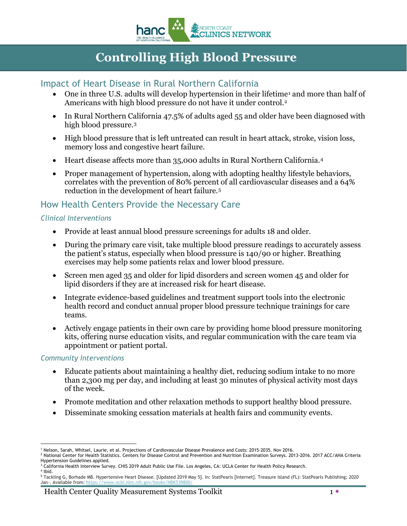

# **Controlling High Blood Pressure**

### Impact of Heart Disease in Rural Northern California

- One in three U.S. adults will develop hypertension in their lifetime<sup>[1](#page-0-0)</sup> and more than half of Americans with high blood pressure do not have it under control.[2](#page-0-1)
- In Rural Northern California 47.5% of adults aged 55 and older have been diagnosed with high blood pressure.[3](#page-0-2)
- High blood pressure that is left untreated can result in heart attack, stroke, vision loss, memory loss and congestive heart failure.
- Heart disease affects more than 35,000 adults in Rural Northern California.<sup>[4](#page-0-3)</sup>
- Proper management of hypertension, along with adopting healthy lifestyle behaviors, correlates with the prevention of 80% percent of all cardiovascular diseases and a 64% reduction in the development of heart failure.[5](#page-0-4)

### How Health Centers Provide the Necessary Care

#### *Clinical Interventions*

- Provide at least annual blood pressure screenings for adults 18 and older.
- During the primary care visit, take multiple blood pressure readings to accurately assess the patient's status, especially when blood pressure is 140/90 or higher. Breathing exercises may help some patients relax and lower blood pressure.
- Screen men aged 35 and older for lipid disorders and screen women 45 and older for lipid disorders if they are at increased risk for heart disease.
- Integrate evidence-based guidelines and treatment support tools into the electronic health record and conduct annual proper blood pressure technique trainings for care teams.
- Actively engage patients in their own care by providing home blood pressure monitoring kits, offering nurse education visits, and regular communication with the care team via appointment or patient portal.

#### *Community Interventions*

- Educate patients about maintaining a healthy diet, reducing sodium intake to no more than 2,300 mg per day, and including at least 30 minutes of physical activity most days of the week.
- Promote meditation and other relaxation methods to support healthy blood pressure.
- Disseminate smoking cessation materials at health fairs and community events.

 $\overline{a}$ <sup>1</sup> Nelson, Sarah, Whitsel, Laurie, et al. Projections of Cardiovascular Disease Prevalence and Costs: 2015-2035. Nov 2016.

<span id="page-0-1"></span><span id="page-0-0"></span><sup>&</sup>lt;sup>2</sup> National Center for Health Statistics. Centers for Disease Control and Prevention and Nutrition Examination Surveys. 2013-2016. 2017 ACC/AHA Criteria Hypertension Guidelines applied.<br><sup>3</sup> California Health Interview Survey. CHIS 2019 Adult Public Use File. Los Angeles, CA: UCLA Center for Health Policy Research.

<span id="page-0-2"></span><sup>4</sup> Ibid.

<span id="page-0-4"></span><span id="page-0-3"></span><sup>5</sup> Tackling G, Borhade MB. Hypertensive Heart Disease. [Updated 2019 May 5]. In: StatPearls [Internet]. Treasure Island (FL): StatPearls Publishing; 2020 Jan-. Available from: https://www.ncbi.nlm.nih.gov/books/NBK539800